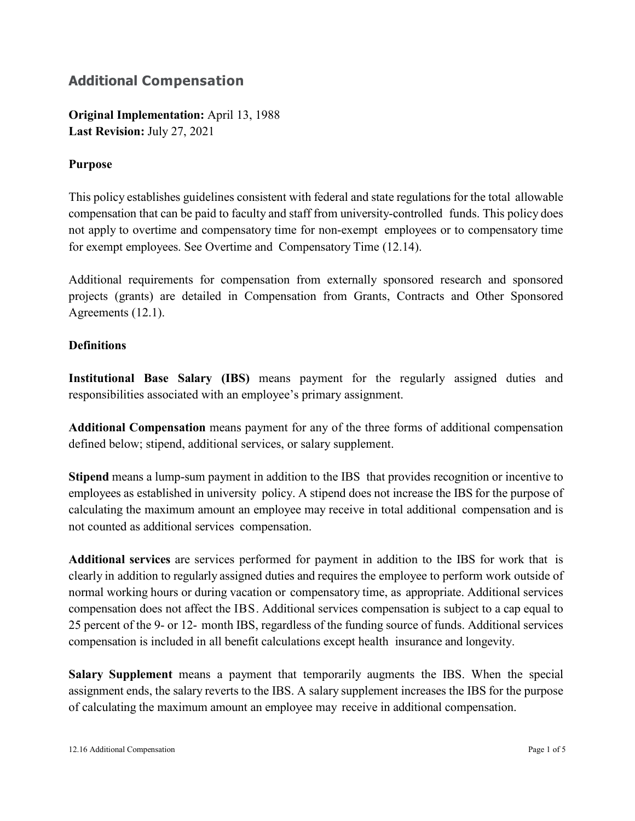# **Additional Compensation**

**Original Implementation:** April 13, 1988 **Last Revision:** July 27, 2021

## **Purpose**

This policy establishes guidelines consistent with federal and state regulations for the total allowable compensation that can be paid to faculty and staff from university-controlled funds. This policy does not apply to overtime and compensatory time for non-exempt employees or to compensatory time for exempt employees. See Overtime and Compensatory Time (12.14).

Additional requirements for compensation from externally sponsored research and sponsored projects (grants) are detailed in Compensation from Grants, Contracts and Other Sponsored Agreements (12.1).

#### **Definitions**

**Institutional Base Salary (IBS)** means payment for the regularly assigned duties and responsibilities associated with an employee's primary assignment.

**Additional Compensation** means payment for any of the three forms of additional compensation defined below; stipend, additional services, or salary supplement.

**Stipend** means a lump-sum payment in addition to the IBS that provides recognition or incentive to employees as established in university policy. A stipend does not increase the IBS for the purpose of calculating the maximum amount an employee may receive in total additional compensation and is not counted as additional services compensation.

**Additional services** are services performed for payment in addition to the IBS for work that is clearly in addition to regularly assigned duties and requires the employee to perform work outside of normal working hours or during vacation or compensatory time, as appropriate. Additional services compensation does not affect the IBS. Additional services compensation is subject to a cap equal to 25 percent of the 9- or 12- month IBS, regardless of the funding source of funds. Additional services compensation is included in all benefit calculations except health insurance and longevity.

**Salary Supplement** means a payment that temporarily augments the IBS. When the special assignment ends, the salary reverts to the IBS. A salary supplement increases the IBS for the purpose of calculating the maximum amount an employee may receive in additional compensation.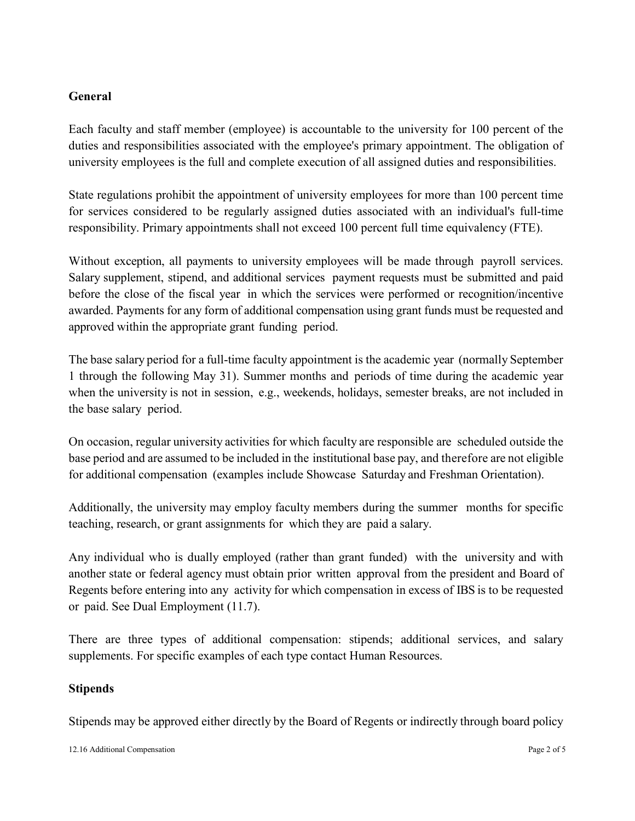## **General**

Each faculty and staff member (employee) is accountable to the university for 100 percent of the duties and responsibilities associated with the employee's primary appointment. The obligation of university employees is the full and complete execution of all assigned duties and responsibilities.

State regulations prohibit the appointment of university employees for more than 100 percent time for services considered to be regularly assigned duties associated with an individual's full-time responsibility. Primary appointments shall not exceed 100 percent full time equivalency (FTE).

Without exception, all payments to university employees will be made through payroll services. Salary supplement, stipend, and additional services payment requests must be submitted and paid before the close of the fiscal year in which the services were performed or recognition/incentive awarded. Payments for any form of additional compensation using grant funds must be requested and approved within the appropriate grant funding period.

The base salary period for a full-time faculty appointment is the academic year (normally September 1 through the following May 31). Summer months and periods of time during the academic year when the university is not in session, e.g., weekends, holidays, semester breaks, are not included in the base salary period.

On occasion, regular university activities for which faculty are responsible are scheduled outside the base period and are assumed to be included in the institutional base pay, and therefore are not eligible for additional compensation (examples include Showcase Saturday and Freshman Orientation).

Additionally, the university may employ faculty members during the summer months for specific teaching, research, or grant assignments for which they are paid a salary.

Any individual who is dually employed (rather than grant funded) with the university and with another state or federal agency must obtain prior written approval from the president and Board of Regents before entering into any activity for which compensation in excess of IBS is to be requested or paid. See Dual Employment (11.7).

There are three types of additional compensation: stipends; additional services, and salary supplements. For specific examples of each type contact Human Resources.

#### **Stipends**

Stipends may be approved either directly by the Board of Regents or indirectly through board policy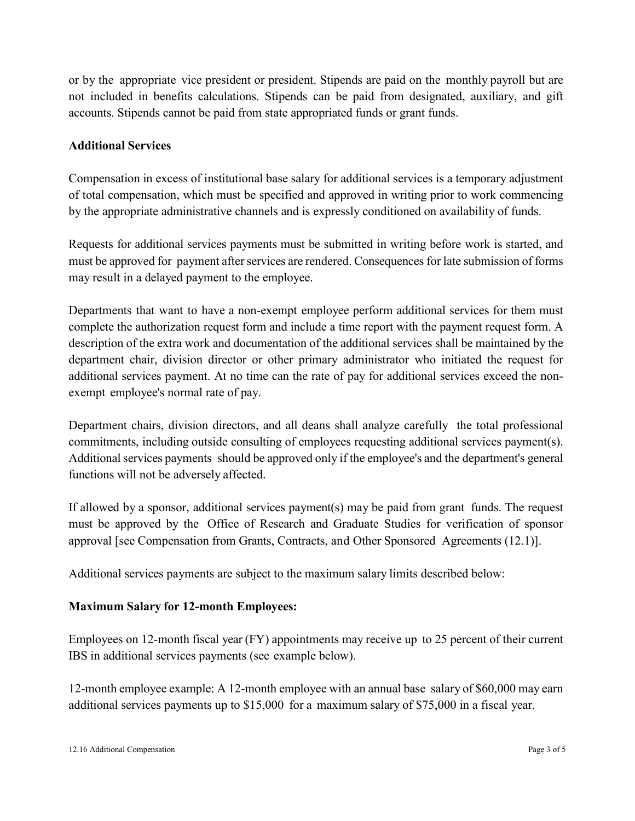or by the appropriate vice president or president. Stipends are paid on the monthly payroll but are not included in benefits calculations. Stipends can be paid from designated, auxiliary, and gift accounts. Stipends cannot be paid from state appropriated funds or grant funds.

## **Additional Services**

Compensation in excess of institutional base salary for additional services is a temporary adjustment of total compensation, which must be specified and approved in writing prior to work commencing by the appropriate administrative channels and is expressly conditioned on availability of funds.

Requests for additional services payments must be submitted in writing before work is started, and must be approved for payment after services are rendered. Consequences for late submission of forms may result in a delayed payment to the employee.

Departments that want to have a non-exempt employee perform additional services for them must complete the authorization request form and include a time report with the payment request form. A description of the extra work and documentation of the additional services shall be maintained by the department chair, division director or other primary administrator who initiated the request for additional services payment. At no time can the rate of pay for additional services exceed the nonexempt employee's normal rate of pay.

Department chairs, division directors, and all deans shall analyze carefully the total professional commitments, including outside consulting of employees requesting additional services payment(s). Additional services payments should be approved only if the employee's and the department's general functions will not be adversely affected.

If allowed by a sponsor, additional services payment(s) may be paid from grant funds. The request must be approved by the Office of Research and Graduate Studies for verification of sponsor approval [see Compensation from Grants, Contracts, and Other Sponsored Agreements (12.1)].

Additional services payments are subject to the maximum salary limits described below:

#### **Maximum Salary for 12-month Employees:**

Employees on 12-month fiscal year (FY) appointments may receive up to 25 percent of their current IBS in additional services payments (see example below).

12-month employee example: A 12-month employee with an annual base salary of \$60,000 may earn additional services payments up to \$15,000 for a maximum salary of \$75,000 in a fiscal year.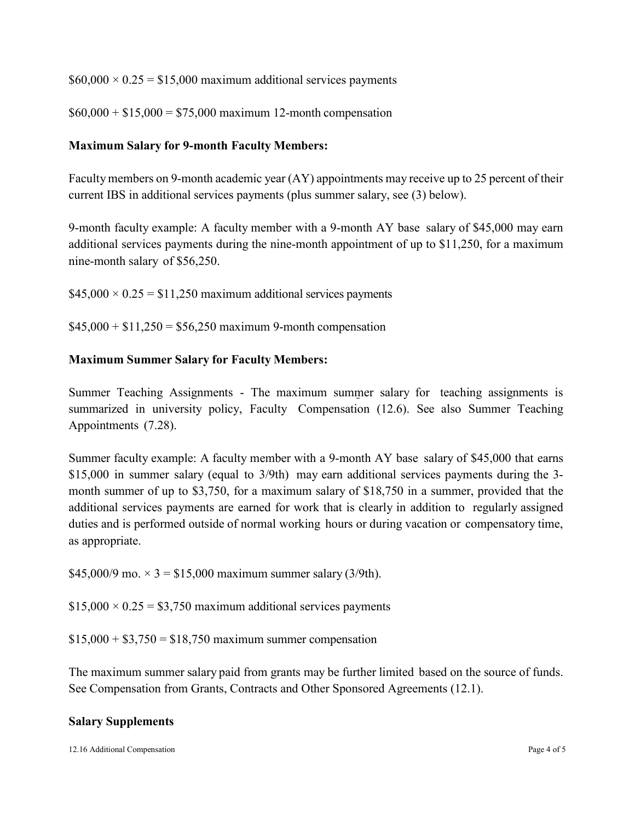$$60,000 \times 0.25 = $15,000$  maximum additional services payments

 $$60,000 + $15,000 = $75,000$  maximum 12-month compensation

#### **Maximum Salary for 9-month Faculty Members:**

Facultymembers on 9-month academic year (AY) appointments may receive up to 25 percent of their current IBS in additional services payments (plus summer salary, see (3) below).

9-month faculty example: A faculty member with a 9-month AY base salary of \$45,000 may earn additional services payments during the nine-month appointment of up to \$11,250, for a maximum nine-month salary of \$56,250.

 $$45,000 \times 0.25 = $11,250$  maximum additional services payments

 $$45,000 + $11,250 = $56,250$  maximum 9-month compensation

#### **Maximum Summer Salary for Faculty Members:**

Summer Teaching Assignments - The maximum summer salary for teaching assignments is summarized in university policy, Faculty Compensation (12.6). See also Summer Teaching Appointments (7.28).

Summer faculty example: A faculty member with a 9-month AY base salary of \$45,000 that earns \$15,000 in summer salary (equal to 3/9th) may earn additional services payments during the 3month summer of up to \$3,750, for a maximum salary of \$18,750 in a summer, provided that the additional services payments are earned for work that is clearly in addition to regularly assigned duties and is performed outside of normal working hours or during vacation or compensatory time, as appropriate.

\$45,000/9 mo.  $\times$  3 = \$15,000 maximum summer salary (3/9th).

 $$15,000 \times 0.25 = $3,750$  maximum additional services payments

 $$15,000 + $3,750 = $18,750$  maximum summer compensation

The maximum summer salary paid from grants may be further limited based on the source of funds. See Compensation from Grants, Contracts and Other Sponsored Agreements (12.1).

#### **Salary Supplements**